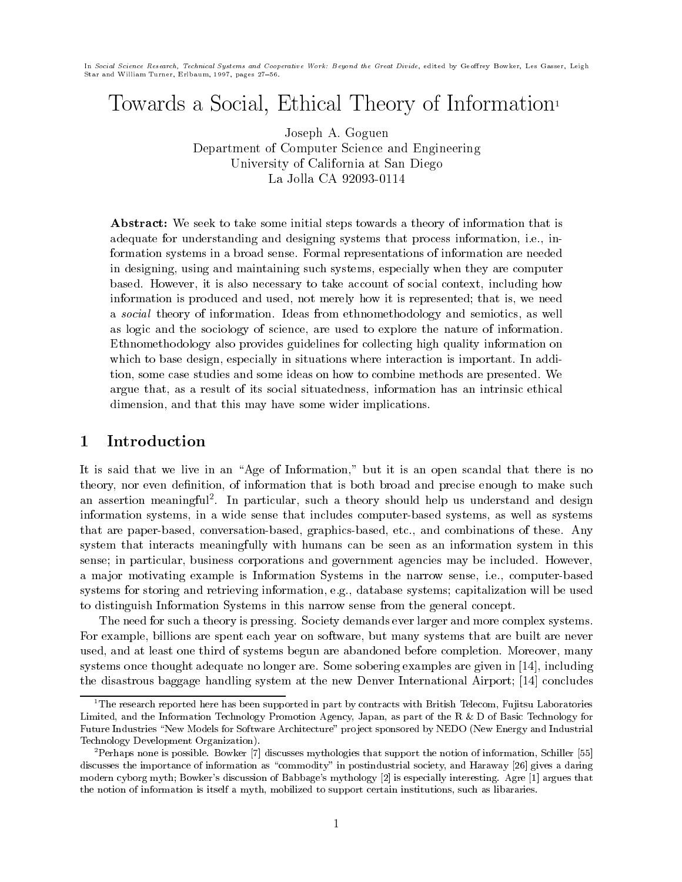In Social Science Research, Technical Systems and Cooperative Work: Beyond the Great Divide, edited by Georey Bowker, Les Gasser, Leigh Star and William Turner, Erlbaum, 1997, pages 27-56.

# Towards a Social, Ethical Theory of Information<sup>1</sup>

Joseph A. Goguen Department of Computer Science and Engineering University of California at San Diego La Jolla CA 92093-0114

Abstract: We seek to take some initial steps towards a theory of information that is adequate for understanding and designing systems that process information, i.e., information systems in a broad sense. Formal representations of information are needed in designing, using and maintaining such systems, especially when they are computer based. However, it is also necessary to take account of social context, including how information is produced and used, not merely how it is represented; that is, we need a social theory of information. Ideas from ethnomethodology and semiotics, as well as logic and the sociology of science, are used to explore the nature of information. Ethnomethodology also provides guidelines for collecting high quality information on which to base design, especially in situations where interaction is important. In addition, some case studies and some ideas on how to combine methods are presented. We argue that, as a result of its social situatedness, information has an intrinsic ethical dimension, and that this may have some wider implications.

## <sup>1</sup> Introduction

It is said that we live in an "Age of Information," but it is an open scandal that there is no theory, nor even definition, of information that is both broad and precise enough to make such an assertion meaningful<sup>-</sup>. In particular, such a theory should help us understand and design information systems, in a wide sense that includes computer-based systems, as well as systems that are paper-based, conversation-based, graphics-based, etc., and combinations of these. Any system that interacts meaningfully with humans can be seen as an information system in this sense; in particular, business corporations and government agencies may be included. However, a major motivating example is Information Systems in the narrow sense, i.e., computer-based systems for storing and retrieving information, e.g., database systems; capitalization will be used to distinguish Information Systems in this narrow sense from the general concept.

The need for such a theory is pressing. Society demands ever larger and more complex systems. For example, billions are spent each year on software, but many systems that are built are never used, and at least one third of systems begun are abandoned before completion. Moreover, many systems once thought adequate no longer are. Some sobering examples are given in [14], including the disastrous baggage handling system at the new Denver International Airport; [14] concludes

 $^1$ The research reported here has been supported in part by contracts with British Telecom, Fujitsu Laboratories Limited, and the Information Technology Promotion Agency, Japan, as part of the R & D of Basic Technology for Future Industries "New Models for Software Architecture" project sponsored by NEDO (New Energy and Industrial Technology Development Organization).

 $^{2}$ Perhaps none is possible. Bowker [7] discusses mythologies that support the notion of information, Schiller [55] discusses the importance of information as "commodity" in postindustrial society, and Haraway [26] gives a daring modern cyborg myth; Bowker's discussion of Babbage's mythology [2] is especially interesting. Agre [1] argues that the notion of information is itself a myth, mobilized to support certain institutions, such as libararies.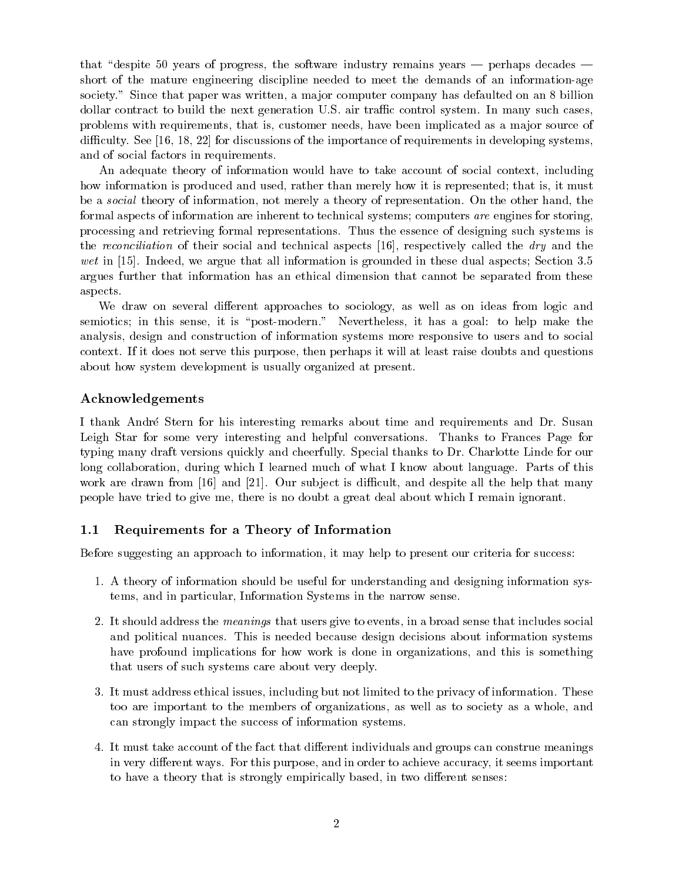that "despite 50 years of progress, the software industry remains years  $-$  perhaps decades  $$ short of the mature engineering discipline needed to meet the demands of an information-age society." Since that paper was written, a major computer company has defaulted on an 8 billion dollar contract to build the next generation U.S. air traffic control system. In many such cases, problems with requirements, that is, customer needs, have been implicated as a ma jor source of difficulty. See  $[16, 18, 22]$  for discussions of the importance of requirements in developing systems, and of social factors in requirements.

An adequate theory of information would have to take account of social context, including how information is produced and used, rather than merely how it is represented; that is, it must be a social theory of information, not merely a theory of representation. On the other hand, the formal aspects of information are inherent to technical systems; computers are engines for storing, processing and retrieving formal representations. Thus the essence of designing such systems is the reconciliation of their social and technical aspects  $[16]$ , respectively called the dry and the wet in [15]. Indeed, we argue that all information is grounded in these dual aspects; Section 3.5 argues further that information has an ethical dimension that cannot be separated from these aspects.

We draw on several different approaches to sociology, as well as on ideas from logic and semiotics; in this sense, it is "post-modern." Nevertheless, it has a goal: to help make the analysis, design and construction of information systems more responsive to users and to social context. If it does not serve this purpose, then perhaps it will at least raise doubts and questions about how system development is usually organized at present.

### Acknowledgements

I thank Andre Stern for his interesting remarks about time and requirements and Dr. Susan Leigh Star for some very interesting and helpful conversations. Thanks to Frances Page for typing many draft versions quickly and cheerfully. Special thanks to Dr. Charlotte Linde for our long collaboration, during which I learned much of what I know about language. Parts of this work are drawn from  $[16]$  and  $[21]$ . Our subject is difficult, and despite all the help that many people have tried to give me, there is no doubt a great deal about which I remain ignorant.

### Requirements for a Theory of Information  $1.1$

Before suggesting an approach to information, it may help to present our criteria for success:

- 1. A theory of information should be useful for understanding and designing information systems, and in particular, Information Systems in the narrow sense.
- 2. It should address the *meanings* that users give to events, in a broad sense that includes social and political nuances. This is needed because design decisions about information systems have profound implications for how work is done in organizations, and this is something that users of such systems care about very deeply.
- 3. It must address ethical issues, including but not limited to the privacy of information. These too are important to the members of organizations, as well as to society as a whole, and can strongly impact the success of information systems.
- 4. It must take account of the fact that different individuals and groups can construe meanings in very different ways. For this purpose, and in order to achieve accuracy, it seems important to have a theory that is strongly empirically based, in two different senses: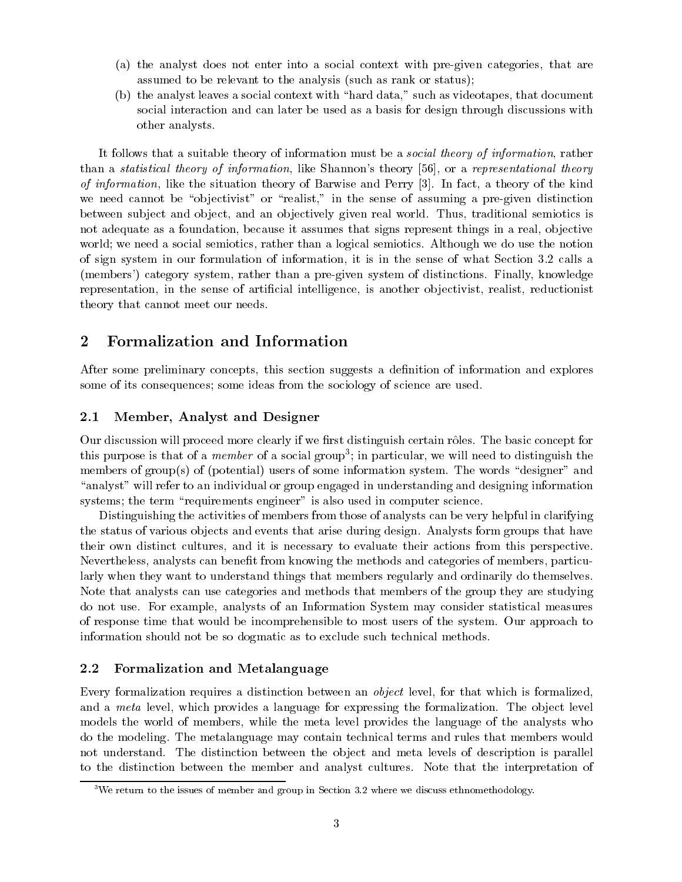- (a) the analyst does not enter into a social context with pre-given categories, that are assumed to be relevant to the analysis (such as rank or status);
- (b) the analyst leaves a social context with "hard data," such as videotapes, that document social interaction and can later be used as a basis for design through discussions with other analysts.

It follows that a suitable theory of information must be a social theory of information, rather than a statistical theory of information, like Shannon's theory [56], or a representational theory of information, like the situation theory of Barwise and Perry [3]. In fact, a theory of the kind we need cannot be "objectivist" or "realist," in the sense of assuming a pre-given distinction between sub ject and ob ject, and an ob jectively given realworld. Thus, traditional semiotics is not adequate as a foundation, because it assumes that signs represent things in a real, objective world; we need a social semiotics, rather than a logical semiotics. Although we do use the notion of sign system in our formulation of information, it is in the sense of what Section 3.2 calls a (members') category system, rather than a pre-given system of distinctions. Finally, knowledge representation, in the sense of artificial intelligence, is another objectivist, realist, reductionist theory that cannot meet our needs.

# <sup>2</sup> Formalization and Information

After some preliminary concepts, this section suggests a definition of information and explores some of its consequences; some ideas from the sociology of science are used.

### 2.1 Member, Analyst and Designer

Our discussion will proceed more clearly if we first distinguish certain rôles. The basic concept for this purpose is that of a *member* of a social group<sup>3</sup>; in particular, we will need to distinguish the members of group(s) of (potential) users of some information system. The words "designer" and "analyst" will refer to an individual or group engaged in understanding and designing information systems; the term "requirements engineer" is also used in computer science.

Distinguishing the activities of members from those of analysts can be very helpful in clarifying the status of various objects and events that arise during design. Analysts form groups that have their own distinct cultures, and it is necessary to evaluate their actions from this perspective. Nevertheless, analysts can benet from knowing the methods and categories of members, particularly when they want to understand things that members regularly and ordinarily do themselves. Note that analysts can use categories and methods that members of the group they are studying do not use. For example, analysts of an Information System mayconsider statistical measures of response time that would be incomprehensible to most users of the system. Our approach to information should not be so dogmatic as to exclude such technical methods.

### 2.2 Formalization and Metalanguage

Every formalization requires a distinction between an object level, for that which is formalized, and a meta level, which provides a language for expressing the formalization. The object level models the world of members, while the meta level provides the language of the analysts who do the modeling. The metalanguage may contain technical terms and rules that members would not understand. The distinction between the object and meta levels of description is parallel to the distinction between the member and analyst cultures. Note that the interpretation of

<sup>&</sup>lt;sup>3</sup>We return to the issues of member and group in Section 3.2 where we discuss ethnomethodology.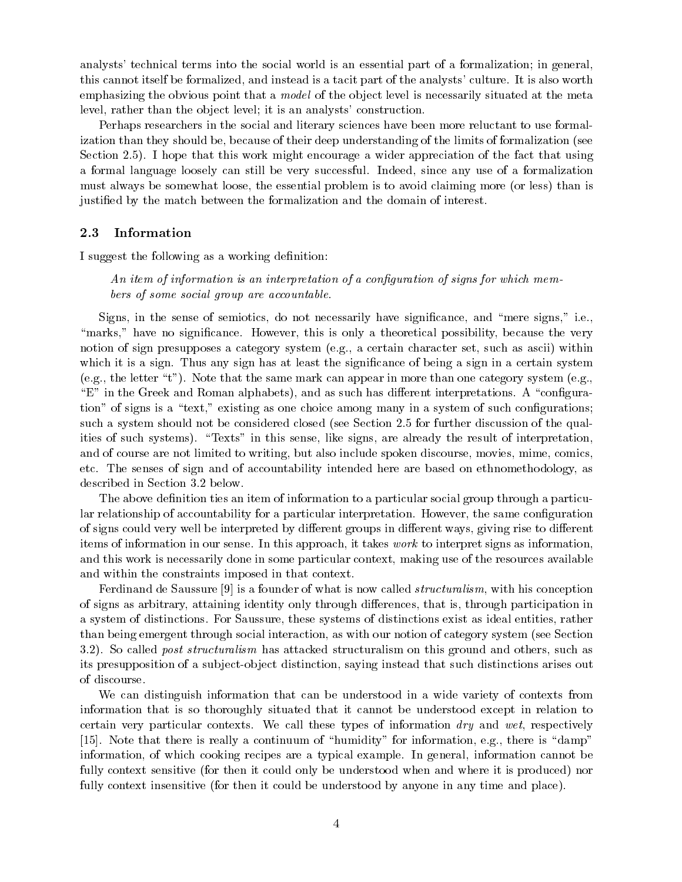analysts' technical terms into the social world is an essential part of a formalization; in general, this cannot itself be formalized, and instead is a tacit part of the analysts' culture. It is also worth emphasizing the obvious point that a *model* of the object level is necessarily situated at the meta level, rather than the object level; it is an analysts' construction.

Perhaps researchers in the social and literary sciences have been more reluctant to use formalization than they should be, because of their deep understanding of the limits of formalization (see Section 2.5). I hope that this work might encourage a wider appreciation of the fact that using a formal language loosely can still be very successful. Indeed, since any use of a formalization must always be somewhat loose, the essential problem is to avoid claiming more (or less) than is justied by the match between the formalization and the domain of interest.

### 2.3 Information

I suggest the following as a working definition:

An item of information is an interpretation of a configuration of signs for which members of some social group are accountable.

Signs, in the sense of semiotics, do not necessarily have significance, and "mere signs," i.e., "marks," have no significance. However, this is only a theoretical possibility, because the very notion of sign presupposes a category system (e.g., a certain character set, such as ascii) within which it is a sign. Thus any sign has at least the significance of being a sign in a certain system (e.g., the letter "t"). Note that the same mark can appear in more than one category system (e.g., " $E$ " in the Greek and Roman alphabets), and as such has different interpretations. A "configuration" of signs is a "text," existing as one choice among many in a system of such configurations; such a system should not be considered closed (see Section 2.5 for further discussion of the qualities of such systems). "Texts" in this sense, like signs, are already the result of interpretation, and of course are not limited to writing, but also include spoken discourse, movies, mime, comics, etc. The senses of sign and of accountability intended here are based on ethnomethodology, as described in Section 3.2 below.

The above definition ties an item of information to a particular social group through a particular relationship of accountability for a particular interpretation. However, the same conguration of signs could very well be interpreted by different groups in different ways, giving rise to different items of information in our sense. In this approach, it takes work to interpret signs as information, and this work is necessarily done in some particular context, making use of the resources available and within the constraints imposed in that context.

Ferdinand de Saussure [9] is a founder of what is now called structuralism, with his conception of signs as arbitrary, attaining identity only through dierences, that is, through participation in a system of distinctions. For Saussure, these systems of distinctions exist as ideal entities, rather than being emergent through social interaction, as with our notion of category system (see Section 3.2). So called post structuralism has attacked structuralism on this ground and others, such as its presupposition of a subject-object distinction, saying instead that such distinctions arises out of discourse.

We can distinguish information that can be understood in a wide variety of contexts from information that is so thoroughly situated that it cannot be understood except in relation to certain very particular contexts. We call these types of information  $\frac{dry}{q}$  and wet, respectively [15]. Note that there is really a continuum of "humidity" for information, e.g., there is "damp" information, of which cooking recipes are a typical example. In general, information cannot be fully context sensitive (for then it could only be understood when and where it is produced) nor fully context insensitive (for then it could be understood by anyone in any time and place).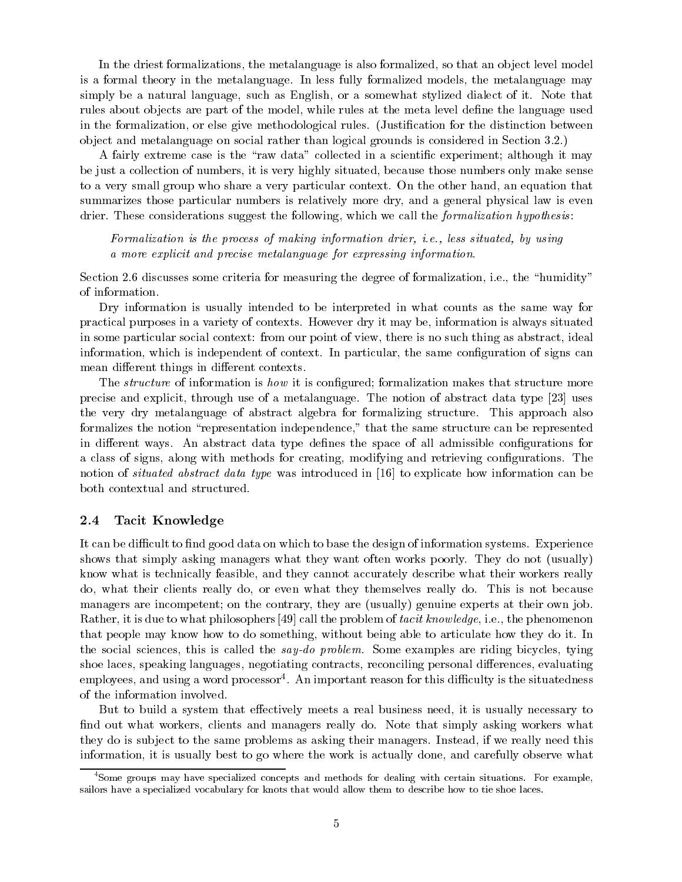In the driest formalizations, the metalanguage is also formalized, so that an object level model is a formal theory in the metalanguage. In less fully formalized models, the metalanguage may simply be a natural language, such as English, or a somewhat stylized dialect of it. Note that rules about objects are part of the model, while rules at the meta level define the language used in the formalization, or else give methodological rules. (Justication for the distinction between ob ject and metalanguage on social rather than logical grounds is considered in Section 3.2.)

A fairly extreme case is the "raw data" collected in a scientific experiment; although it may be just a collection of numbers, it is very highly situated, because those numbers only make sense to a very small group who share a very particular context. On the other hand, an equation that summarizes those particular numbers is relatively more dry, and a general physical law is even drier. These considerations suggest the following, which we call the *formalization hypothesis*:

Formalization is the process of making information drier, i.e., less situated, by using a more explicit and precise metalanguage for expressing information.

Section 2.6 discusses some criteria for measuring the degree of formalization, i.e., the "humidity" of information.

Dry information is usually intended to be interpreted in what counts as the same way for practical purposes in a variety of contexts. However dry it may be, information is always situated in some particular social context: from our point of view, there is no such thing as abstract, ideal information, which is independent of context. In particular, the same configuration of signs can mean different things in different contexts.

The *structure* of information is *how* it is configured; formalization makes that structure more precise and explicit, through use of a metalanguage. The notion of abstract data type [23] uses the very dry metalanguage of abstract algebra for formalizing structure. This approach also formalizes the notion "representation independence," that the same structure can be represented in different ways. An abstract data type defines the space of all admissible configurations for a class of signs, along with methods for creating, modifying and retrieving configurations. The notion of *situated abstract data type* was introduced in [16] to explicate how information can be both contextual and structured.

### 2.4 Tacit Knowledge

It can be difficult to find good data on which to base the design of information systems. Experience shows that simply asking managers what they want often works poorly. They do not (usually) know what is technically feasible, and they cannot accurately describe what their workers really do, what their clients really do, or even what they themselves really do. This is not because managers are incompetent; on the contrary, they are (usually) genuine experts at their own job. Rather, it is due to what philosophers [49] call the problem of *tacit knowledge*, i.e., the phenomenon that people may know how to do something, without being able to articulate how they do it. In the social sciences, this is called the say-do problem. Some examples are riding bicycles, tying shoe laces, speaking languages, negotiating contracts, reconciling personal differences, evaluating employees, and using a word processor . An important reason for this difficulty is the situatedness of the information involved.

But to build a system that effectively meets a real business need, it is usually necessary to find out what workers, clients and managers really do. Note that simply asking workers what they do is sub ject to the same problems as asking their managers. Instead, if we really need this information, it is usually best to go where the work is actually done, and carefully observe what

<sup>4</sup>Some groups may have specialized concepts and methods for dealing with certain situations. For example, sailors have a specialized vocabulary for knots that would allow them to describe how to tie shoe laces.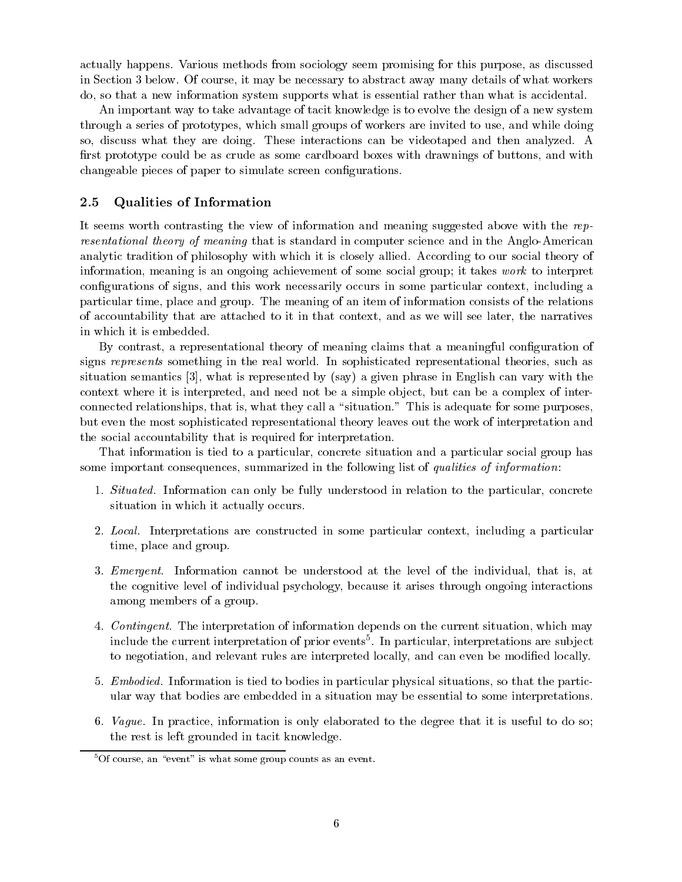actually happens. Various methods from sociology seem promising for this purpose, as discussed in Section 3 below. Of course, it may be necessary to abstract away many details of what workers do, so that a new information system supports what is essential rather than what is accidental.

An important way to take advantage of tacit knowledge is to evolve the design of a new system through a series of prototypes, which small groups of workers are invited to use, and while doing so, discuss what they are doing. These interactions can be videotaped and then analyzed. A first prototype could be as crude as some cardboard boxes with drawnings of buttons, and with changeable pieces of paper to simulate screen congurations.

### 2.5 Qualities of Information

It seems worth contrasting the view of information and meaning suggested above with the representational theory of meaning that is standard in computer science and in the Anglo-American analytic tradition of philosophy with which it is closely allied. According to our social theory of information, meaning is an ongoing achievement of some social group; it takes work to interpret congurations of signs, and this work necessarily occurs in some particular context, including a particular time, place and group. The meaning of an item of information consists of the relations of accountability that are attached to it in that context, and as we will see later, the narratives in which it is embedded.

By contrast, a representational theory of meaning claims that a meaningful configuration of signs represents something in the real world. In sophisticated representational theories, such as situation semantics [3], what is represented by (say) a given phrase in English can vary with the context where it is interpreted, and need not be a simple object, but can be a complex of interconnected relationships, that is, what they call a "situation." This is adequate for some purposes, but even the most sophisticated representational theory leaves out the work of interpretation and the social accountability that is required for interpretation.

That information is tied to a particular, concrete situation and a particular social group has some important consequences, summarized in the following list of qualities of information:

- 1. Situated. Information can only be fully understood in relation to the particular, concrete situation in which it actually occurs.
- 2. Local. Interpretations are constructed in some particular context, including a particular time, place and group.
- 3. Emergent. Information cannot be understood at the level of the individual, that is, at the cognitive level of individual psychology, because it arises through ongoing interactions among members of a group.
- 4. Contingent. The interpretation of information depends on the current situation, which may include the current interpretation of prior events5 . In particular, interpretations are sub ject to negotiation, and relevant rules are interpreted locally, and can even be modified locally.
- 5. Embodied. Information is tied to bodies in particular physical situations, so that the particular way that bodies are embedded in a situation may be essential to some interpretations.
- 6. Vague. In practice, information is only elaborated to the degree that it is useful to do so; the rest is left grounded in tacit knowledge.

 ${}^{5}$ Of course, an "event" is what some group counts as an event.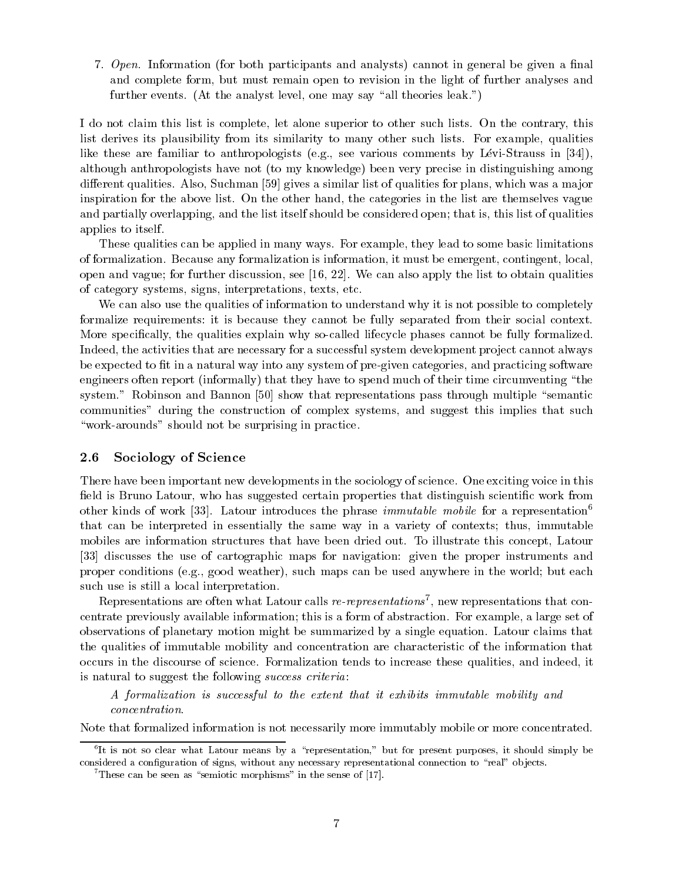7. Open. Information (for both participants and analysts) cannot in general be given a final and complete form, but must remain open to revision in the light of further analyses and further events. (At the analyst level, one may say "all theories leak.")

I do not claim this list is complete, let alone superior to other such lists. On the contrary, this list derives its plausibility from its similarity to many other such lists. For example, qualities like these are familiar to anthropologists (e.g., see various comments by Lévi-Strauss in [34]), although anthropologists have not (to my knowledge) been very precise in distinguishing among different qualities. Also, Suchman [59] gives a similar list of qualities for plans, which was a major inspiration for the above list. On the other hand, the categories in the list are themselves vague and partially overlapping, and the list itself should be considered open; that is, this list of qualities applies to itself.

These qualities can be applied in many ways. For example, they lead to some basic limitations of formalization. Because any formalization is information, it must be emergent, contingent, local, open and vague; for further discussion, see [16, 22]. We can also apply the list to obtain qualities of category systems, signs, interpretations, texts, etc.

We can also use the qualities of information to understand why it is not possible to completely formalize requirements: it is because they cannot be fully separated from their social context. More specically, the qualities explain why so-called lifecycle phases cannot be fully formalized. Indeed, the activities that are necessary for a successful system development project cannot always be expected to fit in a natural way into any system of pre-given categories, and practicing software engineers often report (informally) that they have to spend much of their time circumventing "the system." Robinson and Bannon  $[50]$  show that representations pass through multiple "semantic communities" during the construction of complex systems, and suggest this implies that such "work-arounds" should not be surprising in practice.

### 2.6 Sociology of Science

There have been important new developments in the sociology of science. One exciting voice in this field is Bruno Latour, who has suggested certain properties that distinguish scientific work from other kinds of work [33]. Latour introduces the phrase *immutable mobile* for a representation<sup>6</sup> that can be interpreted in essentially the same way in a variety of contexts; thus, immutable mobiles are information structures that have been dried out. To illustrate this concept, Latour [33] discusses the use of cartographic maps for navigation: given the proper instruments and proper conditions (e.g., good weather), such maps can be used anywhere in the world; but each such use is still a local interpretation.

Representations are often what Latour calls *re-representations* , new representations that concentrate previously available information; this is a form of abstraction. For example, a large set of observations of planetary motion might be summarized by a single equation. Latour claims that the qualities of immutable mobility and concentration are characteristic of the information that occurs in the discourse of science. Formalization tends to increase these qualities, and indeed, it is natural to suggest the following success criteria:

A formalization is successful to the extent that it exhibits immutable mobility and concentration.

Note that formalized information is not necessarily more immutably mobile or more concentrated.

It is not so clear what Latour means by a "representation," but for present purposes, it should simply be " considered a configuration of signs, without any necessary representational connection to "real" objects.

These can be seen as "semiotic morphisms" in the sense of  $[17]$ .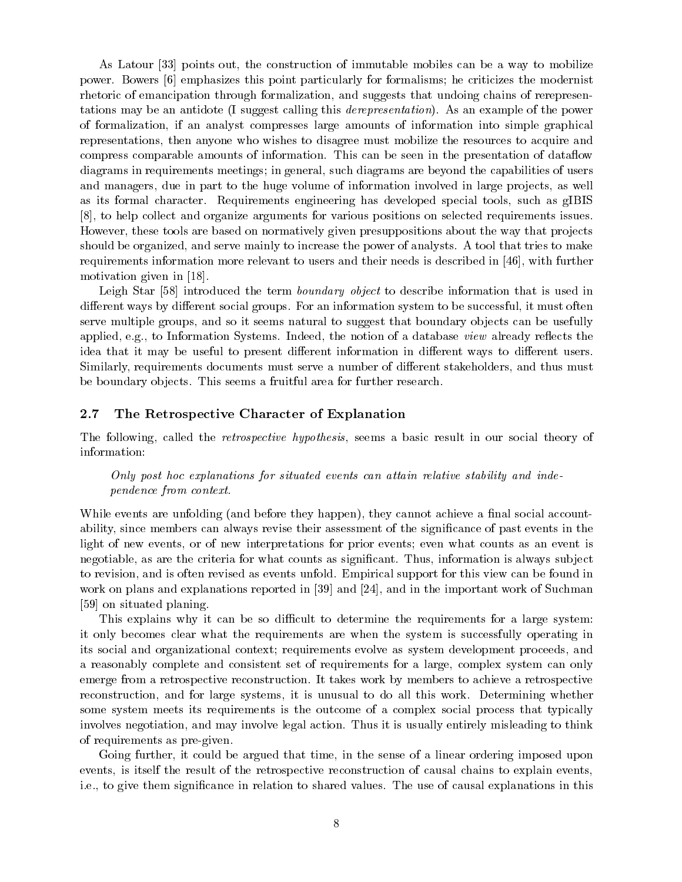As Latour [33] points out, the construction of immutable mobiles can be a way to mobilize power. Bowers [6] emphasizes this point particularly for formalisms; he criticizes the modernist rhetoric of emancipation through formalization, and suggests that undoing chains of rerepresentations may be an antidote (I suggest calling this derepresentation). As an example of the power of formalization, if an analyst compresses large amounts of information into simple graphical representations, then anyone who wishes to disagree must mobilize the resources to acquire and compress comparable amounts of information. This can be seen in the presentation of data flow diagrams in requirements meetings; in general, such diagrams are beyond the capabilities of users and managers, due in part to the huge volume of information involved in large projects, as well as its formal character. Requirements engineering has developed special tools, such as gIBIS [8], to help collect and organize arguments for various positions on selected requirements issues. However, these tools are based on normatively given presuppositions about the way that projects should be organized, and serve mainly to increase the power of analysts. A tool that tries to make requirements information more relevant to users and their needs is described in [46], with further motivation given in [18].

Leigh Star [58] introduced the term *boundary object* to describe information that is used in different ways by different social groups. For an information system to be successful, it must often serve multiple groups, and so it seems natural to suggest that boundary objects can be usefully applied, e.g., to Information Systems. Indeed, the notion of a database *view* already reflects the idea that it may be useful to present different information in different ways to different users. Similarly, requirements documents must serve a number of different stakeholders, and thus must be boundary ob jects. This seems a fruitful area for further research.

### 2.7 The Retrospective Character of Explanation

The following, called the retrospective hypothesis, seems a basic result in our social theory of information:

### Only post hoc explanations for situated events can attain relative stability and independence from context.

While events are unfolding (and before they happen), they cannot achieve a final social accountability, since members can always revise their assessment of the signicance of past events in the light of new events, or of new interpretations for prior events; even what counts as an event is negotiable, as are the criteria for what counts as significant. Thus, information is always subject to revision, and is often revised as events unfold. Empirical support for this view can be found in work on plans and explanations reported in [39] and [24], and in the important work of Suchman [59] on situated planing.

This explains why it can be so difficult to determine the requirements for a large system: it only becomes clear what the requirements are when the system is successfully operating in its social and organizational context; requirements evolve as system development proceeds, and a reasonably complete and consistent set of requirements for a large, complex system can only emerge from a retrospective reconstruction. It takes work by members to achieve a retrospective reconstruction, and for large systems, it is unusual to do all this work. Determining whether some system meets its requirements is the outcome of a complex social process that typically involves negotiation, and may involve legal action. Thus it is usually entirely misleading to think of requirements as pre-given.

Going further, it could be argued that time, in the sense of a linear ordering imposed upon events, is itself the result of the retrospective reconstruction of causal chains to explain events, i.e., to give them signicance in relation to shared values. The use of causal explanations in this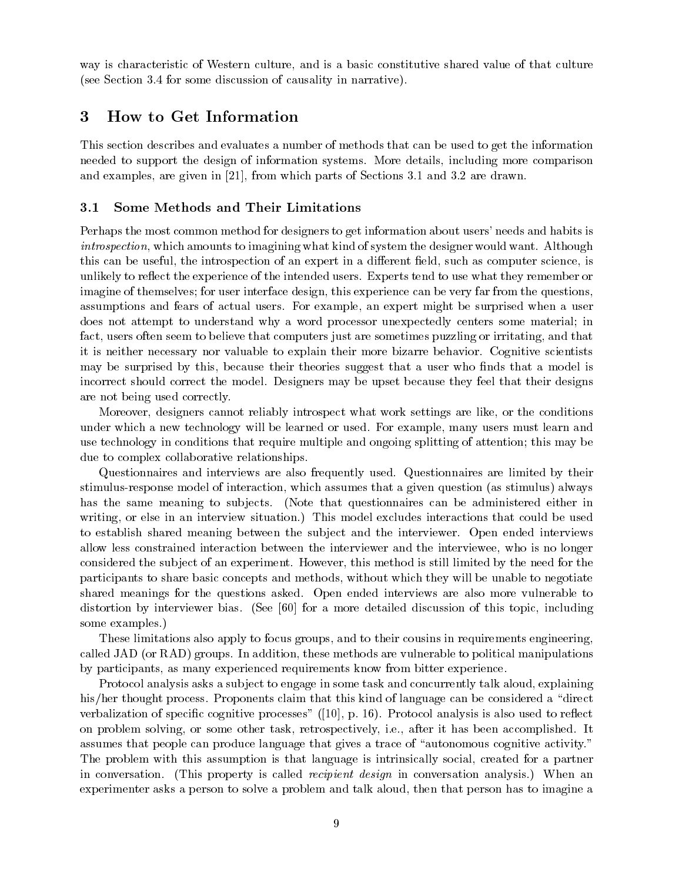way is characteristic of Western culture, and is a basic constitutive shared value of that culture (see Section 3.4 for some discussion of causality in narrative).

This section describes and evaluates a number of methods that can be used to get the information needed to support the design of information systems. More details, including more comparison and examples, are given in [21], from which parts of Sections 3.1 and 3.2 are drawn.

### 3.1 Some Methods and Their Limitations

Perhaps the most common method for designers to get information about users' needs and habits is introspection, which amounts to imagining what kind of system the designer would want. Although this can be useful, the introspection of an expert in a different field, such as computer science, is unlikely to reflect the experience of the intended users. Experts tend to use what they remember or imagine of themselves; for user interface design, this experience can be very far from the questions, assumptions and fears of actual users. For example, an expert might be surprised when a user does not attempt to understand why a word processor unexpectedly centers some material; in fact, users often seem to believe that computers just are sometimes puzzling or irritating, and that it is neither necessary nor valuable to explain their more bizarre behavior. Cognitive scientists may be surprised by this, because their theories suggest that a user who finds that a model is incorrect should correct the model. Designers may be upset because they feel that their designs are not being used correctly.

Moreover, designers cannot reliably introspect what work settings are like, or the conditions under which a new technology will be learned or used. For example, many users must learn and use technology in conditions that require multiple and ongoing splitting of attention; this may be due to complex collaborative relationships.

Questionnaires and interviews are also frequently used. Questionnaires are limited by their stimulus-response model of interaction, which assumes that a given question (as stimulus) always has the same meaning to subjects. (Note that questionnaires can be administered either in writing, or else in an interview situation.) This model excludes interactions that could be used to establish shared meaning between the subject and the interviewer. Open ended interviews allow less constrained interaction between the interviewer and the interviewee, who is no longer considered the sub ject of an experiment. However, this method is still limited by the need for the participants to share basic concepts and methods, without which they will be unable to negotiate shared meanings for the questions asked. Open ended interviews are also more vulnerable to distortion by interviewer bias. (See [60] for a more detailed discussion of this topic, including some examples.)

These limitations also apply to focus groups, and to their cousins in requirements engineering, called JAD (or RAD) groups. In addition, these methods are vulnerable to political manipulations by participants, as many experienced requirements know from bitter experience.

Protocol analysis asks a subject to engage in some task and concurrently talk aloud, explaining his/her thought process. Proponents claim that this kind of language can be considered a "direct" verbalization of specific cognitive processes"  $([10], p. 16)$ . Protocol analysis is also used to reflect on problem solving, or some other task, retrospectively, i.e., after it has been accomplished. It assumes that people can produce language that gives a trace of "autonomous cognitive activity." The problem with this assumption is that language is intrinsically social, created for a partner in conversation. (This property is called *recipient design* in conversation analysis.) When an experimenter asks a person to solve a problem and talk aloud, then that person has to imagine a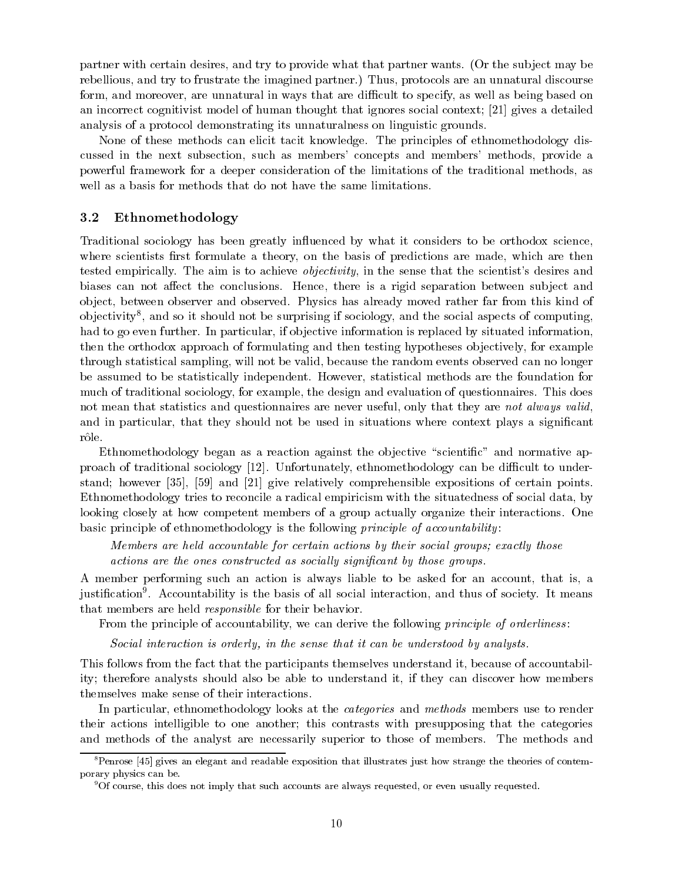partner with certain desires, and try to provide what that partner wants. (Or the subject may be rebellious, and try to frustrate the imagined partner.) Thus, protocols are an unnatural discourse form, and moreover, are unnatural in ways that are difficult to specify, as well as being based on an incorrect cognitivist model of human thought that ignores social context; [21] gives a detailed analysis of a protocol demonstrating its unnaturalness on linguistic grounds.

None of these methods can elicit tacit knowledge. The principles of ethnomethodology discussed in the next subsection, such as members' concepts and members' methods, provide a powerful framework for a deeper consideration of the limitations of the traditional methods, as well as a basis for methods that do not have the same limitations.

### 3.2 Ethnomethodology

Traditional sociology has been greatly influenced by what it considers to be orthodox science, where scientists first formulate a theory, on the basis of predictions are made, which are then tested empirically. The aim is to achieve *objectivity*, in the sense that the scientist's desires and biases can not affect the conclusions. Hence, there is a rigid separation between subject and ob ject, between observer and observed. Physics has already moved rather far from this kind of objectivity°, and so it should not be surprising if sociology, and the social aspects of computing, had to go even further. In particular, if objective information is replaced by situated information, then the orthodox approach of formulating and then testing hypotheses objectively, for example through statistical sampling, will not be valid, because the random events observed can no longer be assumed to be statistically independent. However, statistical methods are the foundation for much of traditional sociology, for example, the design and evaluation of questionnaires. This does not mean that statistics and questionnaires are never useful, only that they are not always valid, and in particular, that they should not be used in situations where context plays a signicant rôle.

Ethnomethodology began as a reaction against the objective "scientific" and normative approach of traditional sociology  $[12]$ . Unfortunately, ethnomethodology can be difficult to understand; however [35], [59] and [21] give relatively comprehensible expositions of certain points. Ethnomethodology tries to reconcile a radical empiricism with the situatedness of social data, by looking closely at how competent members of a group actually organize their interactions. One basic principle of ethnomethodology is the following *principle of accountability*:

Members are held accountable for certain actions by their social groups; exactly those actions are the ones constructed as socially significant by those groups.

A member performing such an action is always liable to be asked for an account, that is, a justication<sup>9</sup> . Accountability is the basis of all social interaction, and thus of society. It means that members are held responsible for their behavior.

From the principle of accountability, we can derive the following *principle of orderliness*:

Social interaction is orderly, in the sense that it can be understood by analysts.

This follows from the fact that the participants themselves understand it, because of accountability; therefore analysts should also be able to understand it, if they can discover how members themselves make sense of their interactions.

In particular, ethnomethodology looks at the *categories* and *methods* members use to render their actions intelligible to one another; this contrasts with presupposing that the categories and methods of the analyst are necessarily superior to those of members. The methods and

 $8$ Penrose [45] gives an elegant and readable exposition that illustrates just how strange the theories of contemporary physics can be.

<sup>9</sup>Of course, this does not imply that such accounts are always requested, or even usually requested.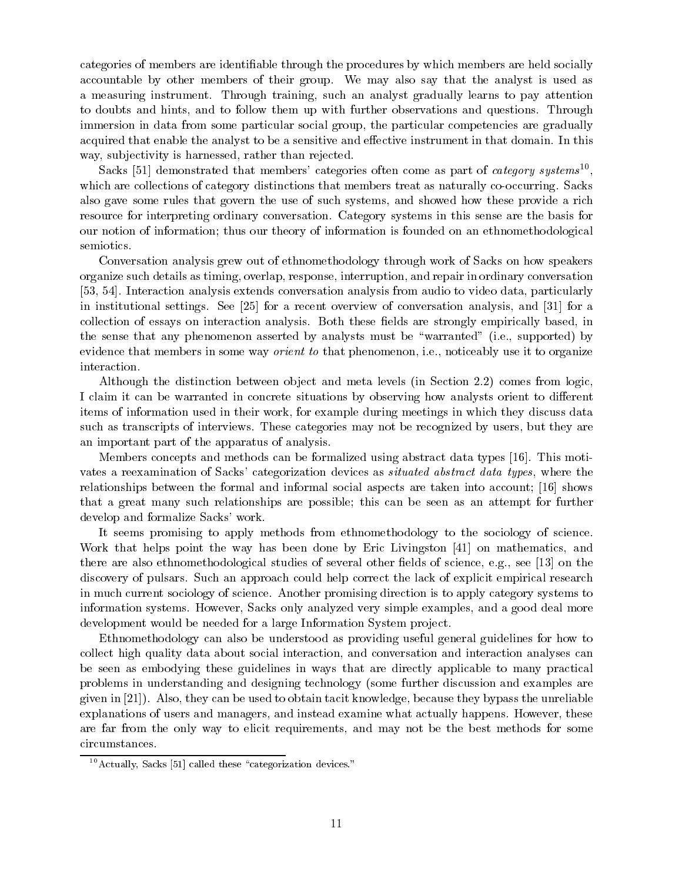categories of members are identiable through the procedures by which members are held socially accountable by other members of their group. We may also say that the analyst is used as a measuring instrument. Through training, such an analyst gradually learns to pay attention to doubts and hints, and to follow them up with further observations and questions. Through immersion in data from some particular social group, the particular competencies are gradually acquired that enable the analyst to be a sensitive and effective instrument in that domain. In this way, subjectivity is harnessed, rather than rejected.

Sacks [51] demonstrated that members' categories often come as part of *category systems*<sup>10</sup> which are collections of category distinctions that members treat as naturally co-occurring. Sacks also gave some rules that govern the use of such systems, and showed how these provide a rich resource for interpreting ordinary conversation. Category systems in this sense are the basis for our notion of information; thus our theory of information is founded on an ethnomethodological semiotics.

Conversation analysis grew out of ethnomethodology through work of Sacks on how speakers organize such details as timing, overlap, response, interruption, and repair in ordinary conversation [53, 54]. Interaction analysis extends conversation analysis from audio to video data, particularly in institutional settings. See [25] for a recent overview of conversation analysis, and [31] for a collection of essays on interaction analysis. Both these fields are strongly empirically based, in the sense that any phenomenon asserted by analysts must be \warranted" (i.e., supported) by evidence that members in some way *orient to* that phenomenon, i.e., noticeably use it to organize interaction.

Although the distinction between object and meta levels (in Section 2.2) comes from logic, I claim it can be warranted in concrete situations by observing how analysts orient to different items of information used in their work, for example during meetings in which they discuss data such as transcripts of interviews. These categories may not be recognized by users, but they are an important part of the apparatus of analysis.

Members concepts and methods can be formalized using abstract data types [16]. This motivates a reexamination of Sacks' categorization devices as situated abstract data types, where the relationships between the formal and informal social aspects are taken into account; [16] shows that a great many such relationships are possible; this can be seen as an attempt for further develop and formalize Sacks' work.

It seems promising to apply methods from ethnomethodology to the sociology of science. Work that helps point the way has been done by Eric Livingston [41] on mathematics, and there are also ethnomethodological studies of several other fields of science, e.g., see  $[13]$  on the discovery of pulsars. Such an approach could help correct the lack of explicit empirical research in much current sociology of science. Another promising direction is to apply category systems to information systems. However, Sacks only analyzed very simple examples, and a good deal more development would be needed for a large Information System project.

Ethnomethodology can also be understood as providing useful general guidelines for how to collect high quality data about social interaction, and conversation and interaction analyses can be seen as embodying these guidelines in ways that are directly applicable to many practical problems in understanding and designing technology (some further discussion and examples are given in [21]). Also, they can be used to obtain tacit knowledge, because they bypass the unreliable explanations of users and managers, and instead examine what actually happens. However, these are far from the only way to elicit requirements, and may not be the best methods for some circumstances.

 $10$ Actually, Sacks [51] called these "categorization devices."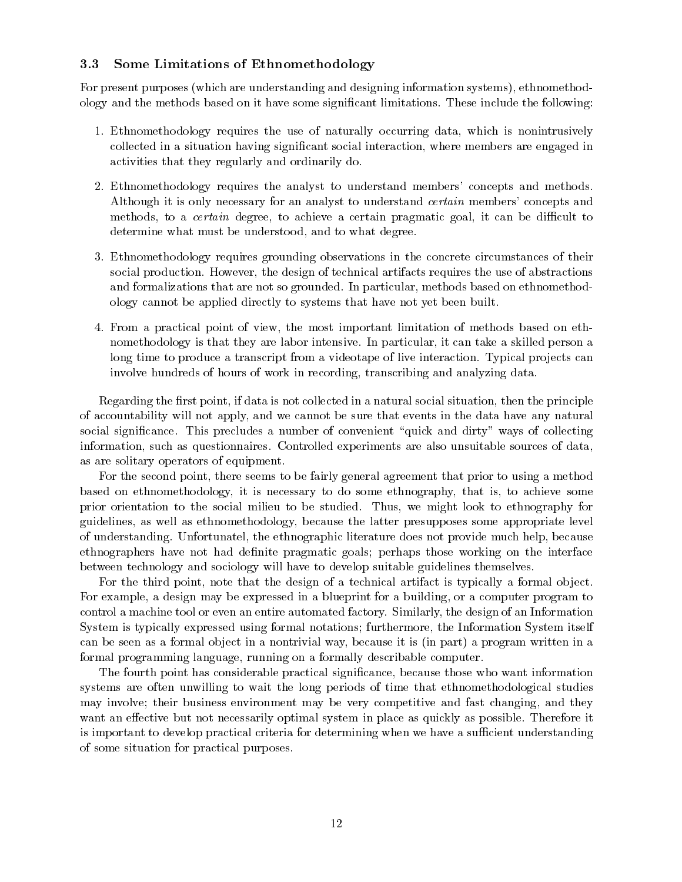### 3.3 Some Limitations of Ethnomethodology 3.3

For present purposes (which are understanding and designing information systems), ethnomethodology and the methods based on it have some signicant limitations. These include the following:

- 1. Ethnomethodology requires the use of naturally occurring data, which is nonintrusively collected in a situation having signicant social interaction, where members are engaged in activities that they regularly and ordinarily do.
- 2. Ethnomethodology requires the analyst to understand members' concepts and methods. Although it is only necessary for an analyst to understand certain members' concepts and methods, to a *certain* degree, to achieve a certain pragmatic goal, it can be difficult to determine what must be understood, and to what degree.
- 3. Ethnomethodology requires grounding observations in the concrete circumstances of their social production. However, the design of technical artifacts requires the use of abstractions and formalizations that are not so grounded. In particular, methods based on ethnomethodology cannot be applied directly to systems that have not yet been built.
- 4. From a practical point of view, the most important limitation of methods based on ethnomethodology is that they are labor intensive. In particular, it can take a skilled person a long time to produce a transcript from a videotape of live interaction. Typical projects can involve hundreds of hours of work in recording, transcribing and analyzing data.

Regarding the first point, if data is not collected in a natural social situation, then the principle of accountability will not apply, and we cannot be sure that events in the data have any natural social significance. This precludes a number of convenient "quick and dirty" ways of collecting information, such as questionnaires. Controlled experiments are also unsuitable sources of data, as are solitary operators of equipment.

For the second point, there seems to be fairly general agreement that prior to using a method based on ethnomethodology, it is necessary to do some ethnography, that is, to achieve some prior orientation to the social milieu to be studied. Thus, we might look to ethnography for guidelines, as well as ethnomethodology, because the latter presupposes some appropriate level of understanding. Unfortunatel, the ethnographic literature does not provide much help, because ethnographers have not had definite pragmatic goals; perhaps those working on the interface between technology and sociology will have to develop suitable guidelines themselves.

For the third point, note that the design of a technical artifact is typically a formal object. For example, a design may be expressed in a blueprint for a building, or a computer program to control a machine tool or even an entire automated factory. Similarly, the design of an Information System is typically expressed using formal notations; furthermore, the Information System itself can be seen as a formal object in a nontrivial way, because it is (in part) a program written in a formal programming language, running on a formally describable computer.

The fourth point has considerable practical signicance, because those who want information systems are often unwilling to wait the long periods of time that ethnomethodological studies may involve; their business environment may be very competitive and fast changing, and they want an effective but not necessarily optimal system in place as quickly as possible. Therefore it is important to develop practical criteria for determining when we have a sufficient understanding of some situation for practical purposes.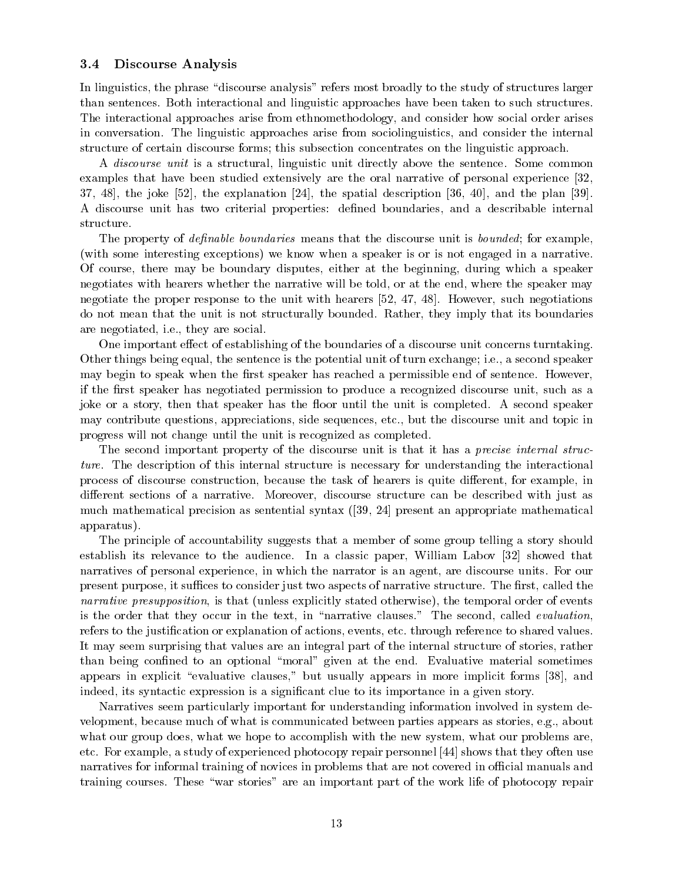### 3.4 Discourse Analysis

In linguistics, the phrase "discourse analysis" refers most broadly to the study of structures larger than sentences. Both interactional and linguistic approaches have been taken to such structures. The interactional approaches arise from ethnomethodology, and consider how social order arises in conversation. The linguistic approaches arise from sociolinguistics, and consider the internal structure of certain discourse forms; this subsection concentrates on the linguistic approach.

A discourse unit is a structural, linguistic unit directly above the sentence. Some common examples that have been studied extensively are the oral narrative of personal experience [32, 37, 48], the joke [52], the explanation [24], the spatial description [36, 40], and the plan [39]. A discourse unit has two criterial properties: defined boundaries, and a describable internal structure.

The property of *definable boundaries* means that the discourse unit is *bounded*; for example, (with some interesting exceptions) we know when a speaker is or is not engaged in a narrative. Of course, there may be boundary disputes, either at the beginning, during which a speaker negotiates with hearers whether the narrative will be told, or at the end, where the speaker may negotiate the proper response to the unit with hearers [52, 47, 48]. However, such negotiations do not mean that the unit is not structurally bounded. Rather, they imply that its boundaries are negotiated, i.e., they are social.

One important effect of establishing of the boundaries of a discourse unit concerns turntaking. Other things being equal, the sentence is the potential unit of turn exchange; i.e., a second speaker may begin to speak when the first speaker has reached a permissible end of sentence. However, if the first speaker has negotiated permission to produce a recognized discourse unit, such as a joke or a story, then that speaker has the floor until the unit is completed. A second speaker may contribute questions, appreciations, side sequences, etc., but the discourse unit and topic in progress will not change until the unit is recognized as completed.

The second important property of the discourse unit is that it has a precise internal structure. The description of this internal structure is necessary for understanding the interactional process of discourse construction, because the task of hearers is quite different, for example, in different sections of a narrative. Moreover, discourse structure can be described with just as much mathematical precision as sentential syntax ([39, 24] present an appropriate mathematical apparatus).

The principle of accountability suggests that a member of some group telling a story should establish its relevance to the audience. In a classic paper, William Labov [32] showed that narratives of personal experience, in which the narrator is an agent, are discourse units. For our present purpose, it suffices to consider just two aspects of narrative structure. The first, called the narrative presupposition, is that (unless explicitly stated otherwise), the temporal order of events is the order that they occur in the text, in "narrative clauses." The second, called *evaluation*, refers to the justification or explanation of actions, events, etc. through reference to shared values. It may seem surprising that values are an integral part of the internal structure of stories, rather than being confined to an optional "moral" given at the end. Evaluative material sometimes appears in explicit "evaluative clauses," but usually appears in more implicit forms  $[38]$ , and indeed, its syntactic expression is a signicant clue to its importance in a given story.

Narratives seem particularly important for understanding information involved in system development, because much of what is communicated between parties appears as stories, e.g., about what our group does, what we hope to accomplish with the new system, what our problems are, etc. For example, a study of experienced photocopy repair personnel [44] shows that they often use narratives for informal training of novices in problems that are not covered in official manuals and training courses. These \war stories" are an important part of the work life of photocopy repair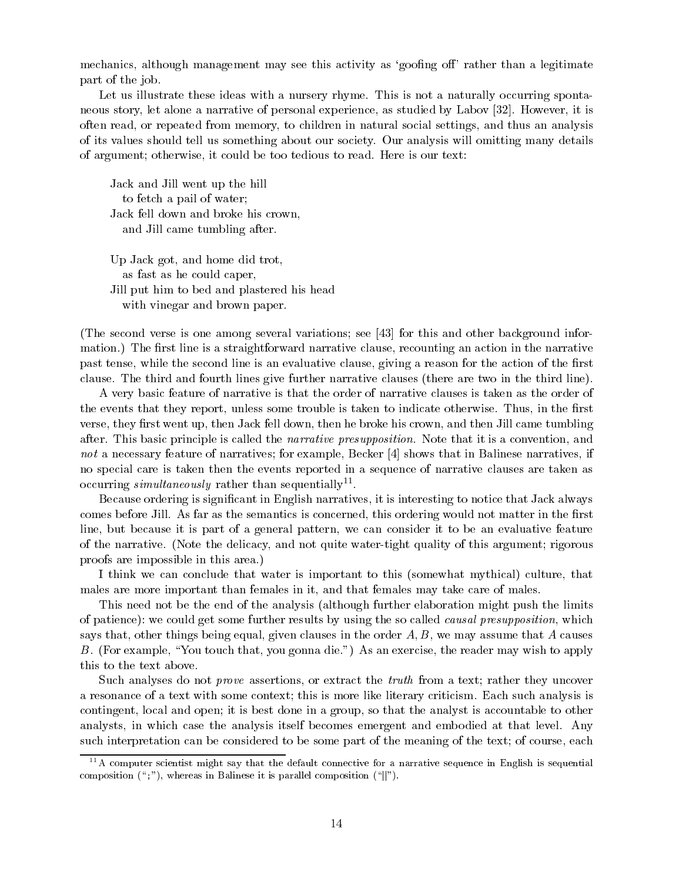mechanics, although management may see this activity as 'goofing off' rather than a legitimate part of the job.

Let us illustrate these ideas with a nursery rhyme. This is not a naturally occurring spontaneous story, let alone a narrative of personal experience, as studied by Labov [32]. However, it is often read, or repeated from memory, to children in natural social settings, and thus an analysis of its values should tell us something about our society. Our analysis will omitting many details of argument; otherwise, it could be too tedious to read. Here is our text:

Jack and Jill went up the hill to fetch a pail of water; Jack fell down and broke his crown, and Jill came tumbling after.

Up Jack got, and home did trot, as fast as he could caper, Jill put him to bed and plastered his head with vinegar and brown paper.

(The second verse is one among several variations; see [43] for this and other background information.) The first line is a straightforward narrative clause, recounting an action in the narrative past tense, while the second line is an evaluative clause, giving a reason for the action of the first clause. The third and fourth lines give further narrative clauses (there are two in the third line).

A very basic feature of narrative is that the order of narrative clauses is taken as the order of the events that they report, unless some trouble is taken to indicate otherwise. Thus, in the first verse, they first went up, then Jack fell down, then he broke his crown, and then Jill came tumbling after. This basic principle is called the *narrative presupposition*. Note that it is a convention, and not a necessary feature of narratives; for example, Becker [4] shows that in Balinese narratives, if no special care is taken then the events reported in a sequence of narrative clauses are taken as occurring  $summationeously$  rather than sequentially<sup>--</sup>.

Because ordering is signicant in English narratives, it is interesting to notice that Jack always comes before Jill. As far as the semantics is concerned, this ordering would not matter in the first line, but because it is part of a general pattern, we can consider it to be an evaluative feature of the narrative. (Note the delicacy, and not quite water-tight quality of this argument; rigorous proofs are impossible in this area.)

I think we can conclude that water is important to this (somewhat mythical) culture, that males are more important than females in it, and that females may take care of males.

This need not be the end of the analysis (although further elaboration might push the limits of patience): we could get some further results by using the so called causal presupposition, which says that, other things being equal, given clauses in the order  $A, B$ , we may assume that A causes B. (For example, "You touch that, you gonna die.") As an exercise, the reader may wish to apply this to the text above.

Such analyses do not *prove* assertions, or extract the *truth* from a text; rather they uncover a resonance of a text with some context; this is more like literary criticism. Each such analysis is contingent, local and open; it is best done in a group, so that the analyst is accountable to other analysts, in which case the analysis itself becomes emergent and embodied atthat level. Any such interpretation can be considered to be some part of the meaning of the text; of course, each

 $11$ A computer scientist might say that the default connective for a narrative sequence in English is sequential composition  $(\cdot, \cdot)$ , whereas in Balinese it is parallel composition  $(\cdot \| \cdot)$ .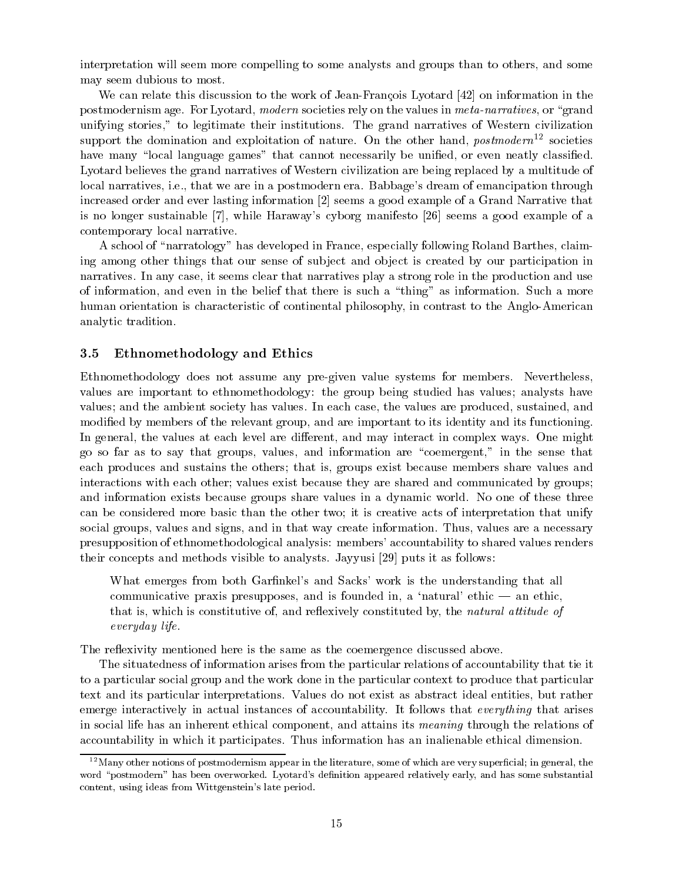interpretation will seem more compelling to some analysts and groups than to others, and some may seem dubious to most.

We can relate this discussion to the work of Jean-François Lyotard [42] on information in the postmodernism age. For Lyotard, modern societies rely on the values in meta-narratives, or "grand unifying stories," to legitimate their institutions. The grand narratives of Western civilization support the domination and exploitation of nature. On the other hand,  $postmodern^{12}$  societies have many "local language games" that cannot necessarily be unified, or even neatly classified. Lyotard believes the grand narratives of Western civilization are being replaced byamultitude of local narratives, i.e., that we are in a postmodern era. Babbage's dream of emancipation through increased order and ever lasting information [2] seems a good example of a Grand Narrative that is no longer sustainable [7], while Haraway's cyborg manifesto [26] seems a good example of a contemporary local narrative.

A school of "narratology" has developed in France, especially following Roland Barthes, claiming among other things that our sense of subject and object is created by our participation in narratives. In any case, it seems clear that narratives play a strong role in the production and use of information, and even in the belief that there is such a \thing" as information. Such a more human orientation is characteristic of continental philosophy, in contrast to the Anglo-American analytic tradition.

### 3.5 Ethnomethodology and Ethics

Ethnomethodology does not assume any pre-given value systems for members. Nevertheless, values are important to ethnomethodology: the group being studied has values; analysts have values; and the ambient society has values. In each case, the values are produced, sustained, and modified by members of the relevant group, and are important to its identity and its functioning. In general, the values at each level are different, and may interact in complex ways. One might go so far as to say that groups, values, and information are \coemergent," in the sense that each produces and sustains the others; that is, groups exist because members share values and interactions with each other; values exist because they are shared and communicated by groups; and information exists because groups share values in a dynamic world. No one of these three can be considered more basic than the other two; it is creative acts of interpretation that unify social groups, values and signs, and in that way create information. Thus, values are a necessary presupposition of ethnomethodological analysis: members' accountability to shared values renders their concepts and methods visible to analysts. Jayyusi [29] puts it as follows:

What emerges from both Garfinkel's and Sacks' work is the understanding that all communicative praxis presupposes, and is founded in, a 'natural' ethic  $-$  an ethic, that is, which is constitutive of, and reflexively constituted by, the natural attitude of everyday life.

The reflexivity mentioned here is the same as the coemergence discussed above.

The situatedness of information arises from the particular relations of accountability that tie it to a particular social group and the work done in the particular context to produce that particular text and its particular interpretations. Values do not exist as abstract ideal entities, but rather emerge interactively in actual instances of accountability. It follows that everything that arises in social life has an inherent ethical component, and attains its meaning through the relations of accountability in which it participates. Thus information has an inalienable ethical dimension.

 $12$ Many other notions of postmodernism appear in the literature, some of which are very superficial; in general, the word "postmodern" has been overworked. Lyotard's definition appeared relatively early, and has some substantial content, using ideas from Wittgenstein's late period.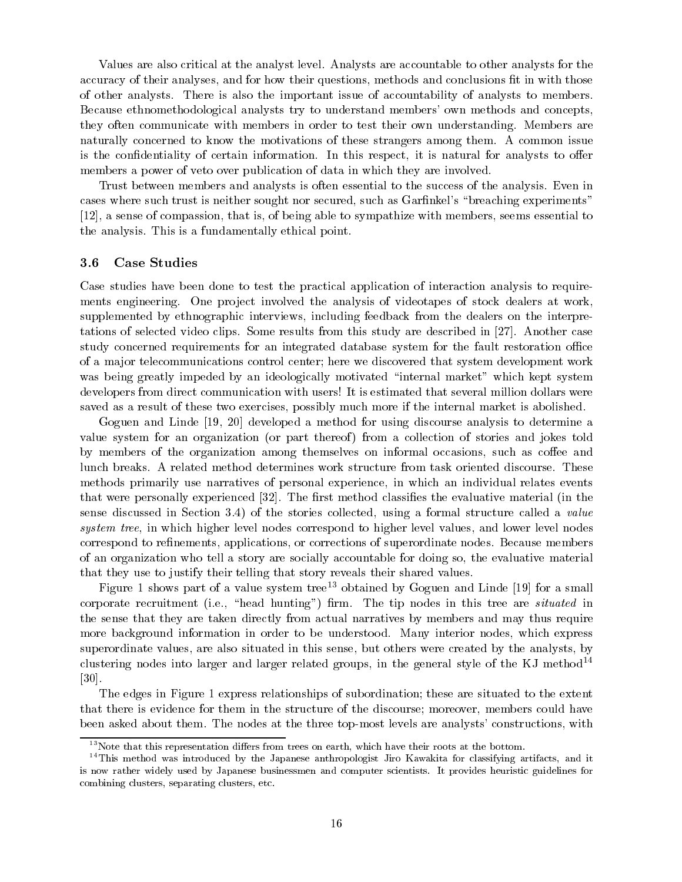Values are also critical at the analyst level. Analysts are accountable to other analysts for the accuracy of their analyses, and for how their questions, methods and conclusions fit in with those of other analysts. There is also the important issue of accountability of analysts to members. Because ethnomethodological analysts try to understand members' own methods and concepts, they often communicate with members in order to test their own understanding. Members are naturally concerned to know the motivations of these strangers among them. A common issue is the confidentiality of certain information. In this respect, it is natural for analysts to offer members a power of veto over publication of data in which they are involved.

Trust between members and analysts is often essential to the success of the analysis. Even in cases where such trust is neither sought nor secured, such as Garfinkel's "breaching experiments" [12], a sense of compassion, that is, of being able to sympathize with members, seems essential to the analysis. This is a fundamentally ethical point.

### 3.6 Case Studies

Case studies have been done to test the practical application of interaction analysis to requirements engineering. One project involved the analysis of videotapes of stock dealers at work, supplemented by ethnographic interviews, including feedback from the dealers on the interpretations of selected video clips. Some results from this study are described in [27]. Another case study concerned requirements for an integrated database system for the fault restoration office of a major telecommunications control center; here we discovered that system development work was being greatly impeded by an ideologically motivated "internal market" which kept system developers from direct communication with users! It is estimated that several million dollars were saved as a result of these two exercises, possibly much more if the internal market is abolished.

Goguen and Linde [19, 20] developed a method for using discourse analysis to determine a value system for an organization (or part thereof) from a collection of stories and jokes told by members of the organization among themselves on informal occasions, such as coffee and lunch breaks. A related method determines work structure from task oriented discourse. These methods primarily use narratives of personal experience, in which an individual relates events that were personally experienced  $[32]$ . The first method classifies the evaluative material (in the sense discussed in Section 3.4) of the stories collected, using a formal structure called a value system tree, in which higher level nodes correspond to higher level values, and lower level nodes correspond to refinements, applications, or corrections of superordinate nodes. Because members of an organization who tell a story are socially accountable for doing so, the evaluative material that they use to justify their telling that story reveals their shared values.

Figure 1 shows part of a value system tree<sup>13</sup> obtained by Goguen and Linde [19] for a small corporate recruitment (i.e., "head hunting") firm. The tip nodes in this tree are *situated* in the sense that they are taken directly from actual narratives by members and may thus require more background information in order to be understood. Many interior nodes, which express superordinate values, are also situated in this sense, but others were created by the analysts, by clustering nodes into larger and larger related groups, in the general style of the KJ method<sup>14</sup> [30].

The edges in Figure 1 express relationships of subordination; these are situated to the extent that there is evidence for them in the structure of the discourse; moreover, members could have been asked about them. The nodes at the three top-most levels are analysts' constructions, with

 $13$ Note that this representation differs from trees on earth, which have their roots at the bottom.

<sup>&</sup>lt;sup>14</sup>This method was introduced by the Japanese anthropologist Jiro Kawakita for classifying artifacts, and it is now rather widely used by Japanese businessmen and computer scientists. It provides heuristic guidelines for combining clusters, separating clusters, etc.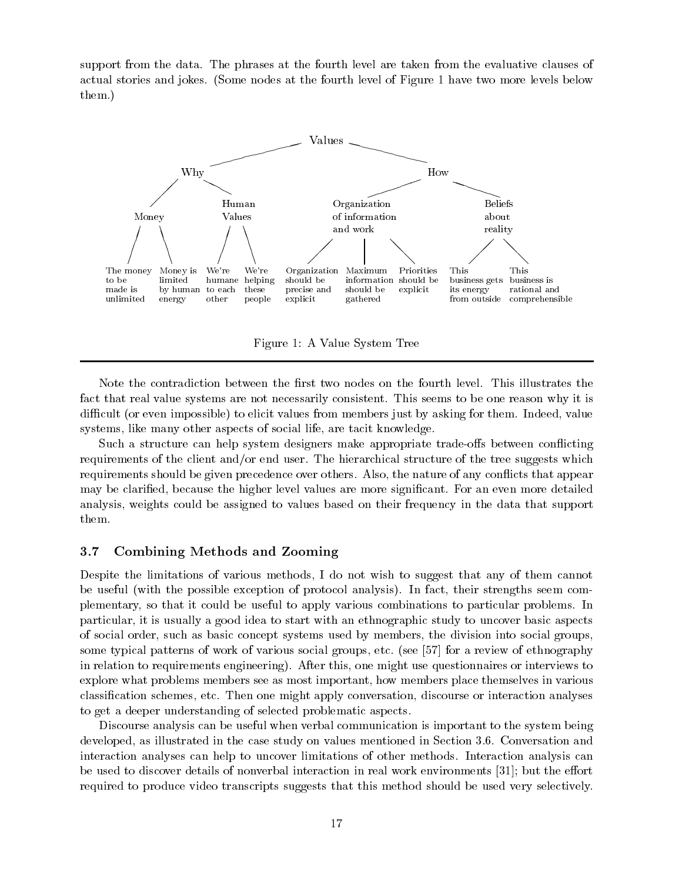support from the data. The phrases at the fourth level are taken from the evaluative clauses of actual stories and jokes. (Some nodes at the fourth level of Figure 1 have two more levels below them.)



Figure 1: A Value System Tree

Note the contradiction between the first two nodes on the fourth level. This illustrates the fact that real value systems are not necessarily consistent. This seems to be one reason why it is difficult (or even impossible) to elicit values from members just by asking for them. Indeed, value systems, like many other aspects of social life, are tacit knowledge.

Such a structure can help system designers make appropriate trade-offs between conflicting requirements of the client and/or end user. The hierarchical structure of the tree suggests which requirements should be given precedence over others. Also, the nature of any conflicts that appear may be clarified, because the higher level values are more significant. For an even more detailed analysis, weights could be assigned to values based on their frequency in the data that support them.

### 3.7 Combining Methods and Zooming

Despite the limitations of various methods, I do not wish to suggest that any of them cannot be useful (with the possible exception of protocol analysis). In fact, their strengths seem complementary, so that it could be useful to apply various combinations to particular problems. In particular, it is usually a good idea to start with an ethnographic study to uncover basic aspects of social order, such as basic concept systems used by members, the division into social groups, some typical patterns of work of various social groups, etc. (see [57] for a review of ethnography in relation to requirements engineering). After this, one might use questionnaires or interviews to explore what problems members see as most important, how members place themselves in various classication schemes, etc. Then one might apply conversation, discourse or interaction analyses to get a deeper understanding of selected problematic aspects.

Discourse analysis can be useful when verbal communication is important to the system being developed, as illustrated in the case study on values mentioned in Section 3.6. Conversation and interaction analyses can help to uncover limitations of other methods. Interaction analysis can be used to discover details of nonverbal interaction in real work environments [31]; but the effort required to produce video transcripts suggests that this method should be used very selectively.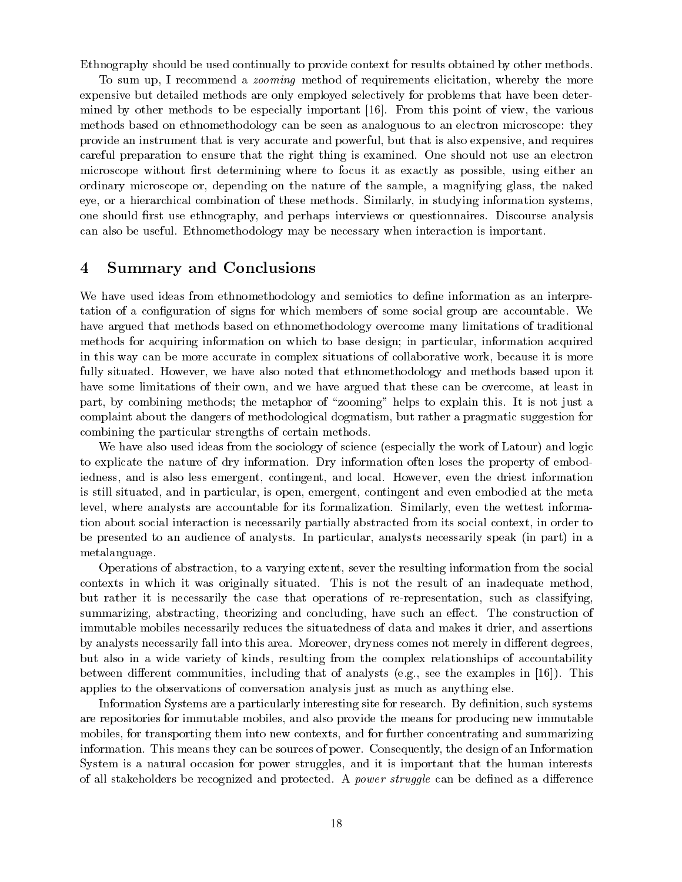Ethnography should be used continually to provide context for results obtained by other methods.

To sum up, I recommend a *zooming* method of requirements elicitation, whereby the more expensive but detailed methods are only employed selectively for problems that have been determined by other methods to be especially important [16]. From this point of view, the various methods based on ethnomethodology can be seen as analoguous to an electron microscope: they provide an instrument that is very accurate and powerful, but that is also expensive, and requires careful preparation to ensure that the right thing is examined. One should not use an electron microscope without first determining where to focus it as exactly as possible, using either an ordinary microscope or, depending on the nature of the sample, a magnifying glass, the naked eye, or a hierarchical combination of these methods. Similarly, in studying information systems, one should first use ethnography, and perhaps interviews or questionnaires. Discourse analysis can also be useful. Ethnomethodology may be necessary when interaction is important.

## <sup>4</sup> Summary and Conclusions

We have used ideas from ethnomethodology and semiotics to define information as an interpretation of a configuration of signs for which members of some social group are accountable. We have argued that methods based on ethnomethodology overcome many limitations of traditional methods for acquiring information on which to base design; in particular, information acquired in this way can be more accurate in complex situations of collaborative work, because it is more fully situated. However, we have also noted that ethnomethodology and methods based upon it have some limitations of their own, and we have argued that these can be overcome, at least in part, by combining methods; the metaphor of "zooming" helps to explain this. It is not just a complaint about the dangers of methodological dogmatism, but rather a pragmatic suggestion for combining the particular strengths of certain methods.

We have also used ideas from the sociology of science (especially the work of Latour) and logic to explicate the nature of dry information. Dry information often loses the property of embodiedness, and is also less emergent, contingent, and local. However, even the driest information is still situated, and in particular, is open, emergent, contingent and even embodied at the meta level, where analysts are accountable for its formalization. Similarly, even the wettest information about social interaction is necessarily partially abstracted from its social context, in order to be presented to an audience of analysts. In particular, analysts necessarily speak (in part) in a metalanguage.

Operations of abstraction, to a varying extent, sever the resulting information from the social contexts in which it was originally situated. This is not the result of an inadequate method, but rather it is necessarily the case that operations of re-representation, such as classifying, summarizing, abstracting, theorizing and concluding, have such an effect. The construction of immutable mobiles necessarily reduces the situatedness of data and makes it drier, and assertions by analysts necessarily fall into this area. Moreover, dryness comes not merely in different degrees, but also in a wide variety of kinds, resulting from the complex relationships of accountability between different communities, including that of analysts (e.g., see the examples in  $[16]$ ). This applies to the observations of conversation analysis just as much as anything else.

Information Systems are a particularly interesting site for research. By definition, such systems are repositories for immutable mobiles, and also provide the means for producing new immutable mobiles, for transporting them into new contexts, and for further concentrating and summarizing information. This means they can be sources of power. Consequently, the design of an Information System is a natural occasion for power struggles, and it is important that the human interests of all stakeholders be recognized and protected. A *power struggle* can be defined as a difference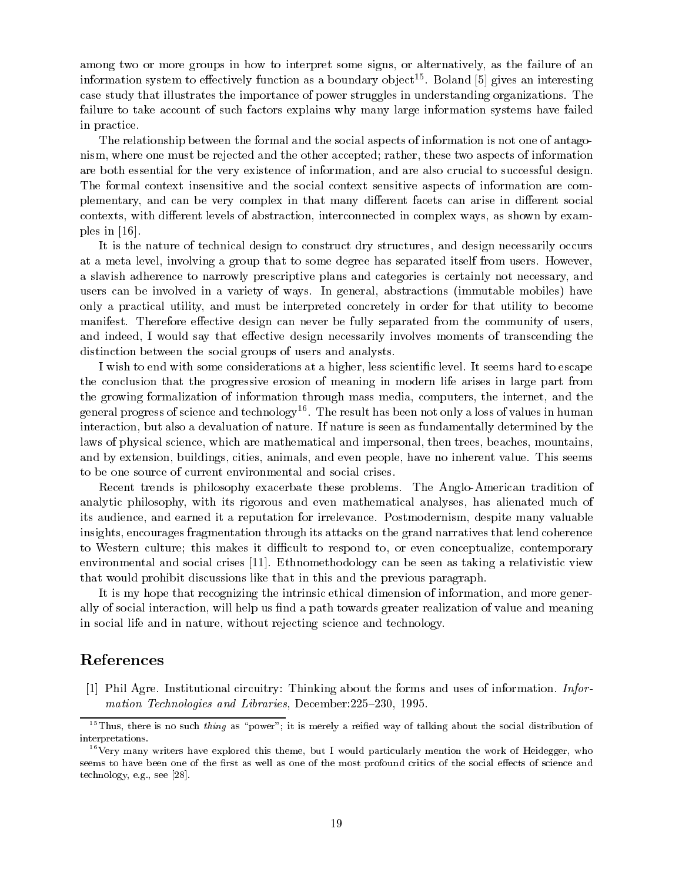among two or more groups in how to interpret some signs, or alternatively, as the failure of an information system to effectively function as a boundary object  $\cdot$  . Boland [5] gives an interesting case study that illustrates the importance of power struggles in understanding organizations. The failure to take account of such factors explains why many large information systems have failed in practice.

The relationship between the formal and the social aspects of information is not one of antagonism, where one must be rejected and the other accepted; rather, these two aspects of information are both essential for the very existence of information, and are also crucial to successful design. The formal context insensitive and the social context sensitive aspects of information are complementary, and can be very complex in that many different facets can arise in different social contexts, with different levels of abstraction, interconnected in complex ways, as shown by examples in [16].

It is the nature of technical design to construct dry structures, and design necessarily occurs at a meta level, involving a group that to some degree has separated itself from users. However, a slavish adherence to narrowly prescriptive plans and categories is certainly not necessary, and users can be involved in a variety of ways. In general, abstractions (immutable mobiles) have only a practical utility, and must be interpreted concretely in order for that utility to become manifest. Therefore effective design can never be fully separated from the community of users, and indeed, I would say that effective design necessarily involves moments of transcending the distinction between the social groups of users and analysts.

I wish to end with some considerations at a higher, less scientic level. It seems hard to escape the conclusion that the progressive erosion of meaning in modern life arises in large part from the growing formalization of information through mass media, computers, the internet, and the general progress of science and technology\*\*. I he result has been not only a loss of values in human interaction, but also a devaluation of nature. If nature is seen as fundamentally determined by the laws of physical science, which are mathematical and impersonal, then trees, beaches, mountains, and by extension, buildings, cities, animals, and even people, have no inherent value. This seems to be one source of current environmental and social crises.

Recent trends is philosophy exacerbate these problems. The Anglo-American tradition of analytic philosophy, with its rigorous and even mathematical analyses, has alienated much of its audience, and earned it a reputation for irrelevance. Postmodernism, despite many valuable insights, encourages fragmentation through its attacks on the grand narratives that lend coherence to Western culture; this makes it difficult to respond to, or even conceptualize, contemporary environmental and social crises [11]. Ethnomethodology can be seen as taking a relativistic view that would prohibit discussions like that in this and the previous paragraph.

It is my hope that recognizing the intrinsic ethical dimension of information, and more generally of social interaction, will help us find a path towards greater realization of value and meaning in social life and in nature, without rejecting science and technology.

## References

[1] Phil Agre. Institutional circuitry: Thinking about the forms and uses of information. Information Technologies and Libraries, December: 225-230, 1995.

<sup>&</sup>lt;sup>15</sup>Thus, there is no such thing as "power"; it is merely a reified way of talking about the social distribution of interpretations.

 $^{16}$ Very many writers have explored this theme, but I would particularly mention the work of Heidegger, who seems to have been one of the first as well as one of the most profound critics of the social effects of science and technology, e.g., see [28].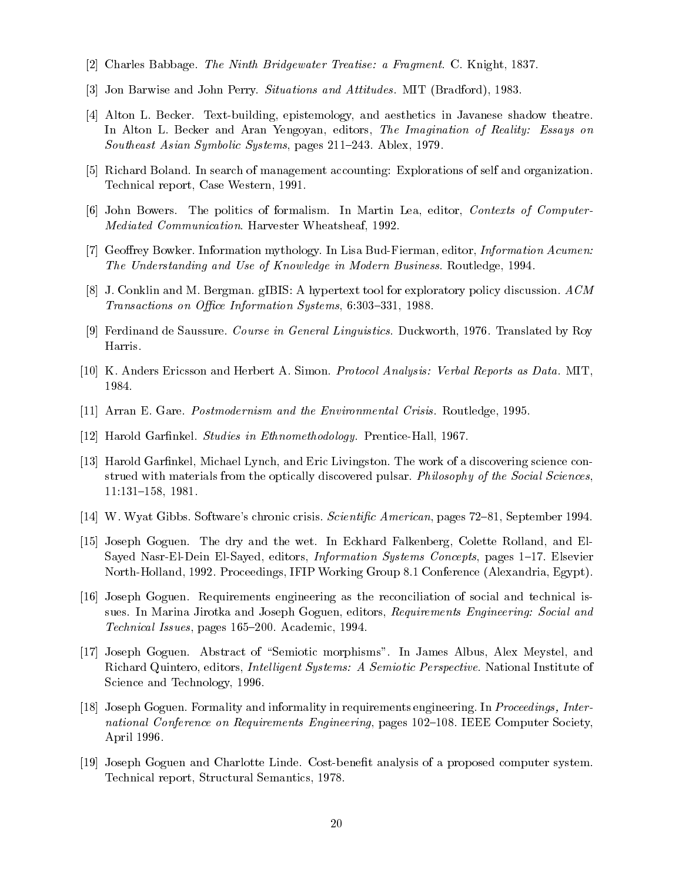- [2] Charles Babbage. The Ninth Bridgewater Treatise: a Fragment. C. Knight, 1837.
- [3] Jon Barwise and John Perry. Situations and Attitudes. MIT (Bradford), 1983.
- [4] Alton L. Becker. Text-building, epistemology, and aesthetics in Javanese shadow theatre. In Alton L. Becker and Aran Yengoyan, editors, The Imagination of Reality: Essays on Southeast Asian Symbolic Systems, pages 211-243. Ablex, 1979.
- [5] Richard Boland. In search of management accounting: Explorations of self and organization. Technical report, Case Western, 1991.
- [6] John Bowers. The politics of formalism. In Martin Lea, editor, Contexts of Computer-Mediated Communication. Harvester Wheatsheaf, 1992.
- [7] Geoffrey Bowker. Information mythology. In Lisa Bud-Fierman, editor, *Information Acumen*: The Understanding and Use of Know ledge in Modern Business. Routledge, 1994.
- [8] J. Conklin and M. Bergman. gIBIS: A hypertext tool for exploratory policy discussion. ACM Transactions on Office Information Systems, 6:303-331, 1988.
- [9] Ferdinand de Saussure. Course in General Linguistics. Duckworth, 1976. Translated by Roy Harris.
- [10] K. Anders Ericsson and Herbert A. Simon. Protocol Analysis: Verbal Reports as Data. MIT, 1984.
- [11] Arran E. Gare. Postmodernism and the Environmental Crisis. Routledge, 1995.
- [12] Harold Garfinkel. Studies in Ethnomethodology. Prentice-Hall, 1967.
- [13] Harold Garfinkel, Michael Lynch, and Eric Livingston. The work of a discovering science construed with materials from the optically discovered pulsar. Philosophy of the Social Sciences, 11:131-158, 1981.
- [14] W. Wyat Gibbs. Software's chronic crisis. *Scientific American*, pages  $72{\text -}81$ , September 1994.
- [15] Joseph Goguen. The dry and the wet. In Eckhard Falkenberg, Colette Rolland, and El-Sayed Nasr-El-Dein El-Sayed, editors, *Information Systems Concepts*, pages 1–17. Elsevier North-Holland, 1992. Proceedings, IFIP Working Group 8.1 Conference (Alexandria, Egypt).
- [16] Joseph Goguen. Requirements engineering as the reconciliation of social and technical issues. In Marina Jirotka and Joseph Goguen, editors, Requirements Engineering: Social and Technical Issues, pages 165-200. Academic, 1994.
- [17] Joseph Goguen. Abstract of "Semiotic morphisms". In James Albus, Alex Meystel, and Richard Quintero, editors, *Intelligent Systems: A Semiotic Perspective*. National Institute of Science and Technology, 1996.
- [18] Joseph Goguen. Formality and informality in requirements engineering. In Proceedings, International Conference on Requirements Engineering, pages 102-108. IEEE Computer Society, April 1996.
- [19] Joseph Goguen and Charlotte Linde. Cost-benefit analysis of a proposed computer system. Technical report, Structural Semantics, 1978.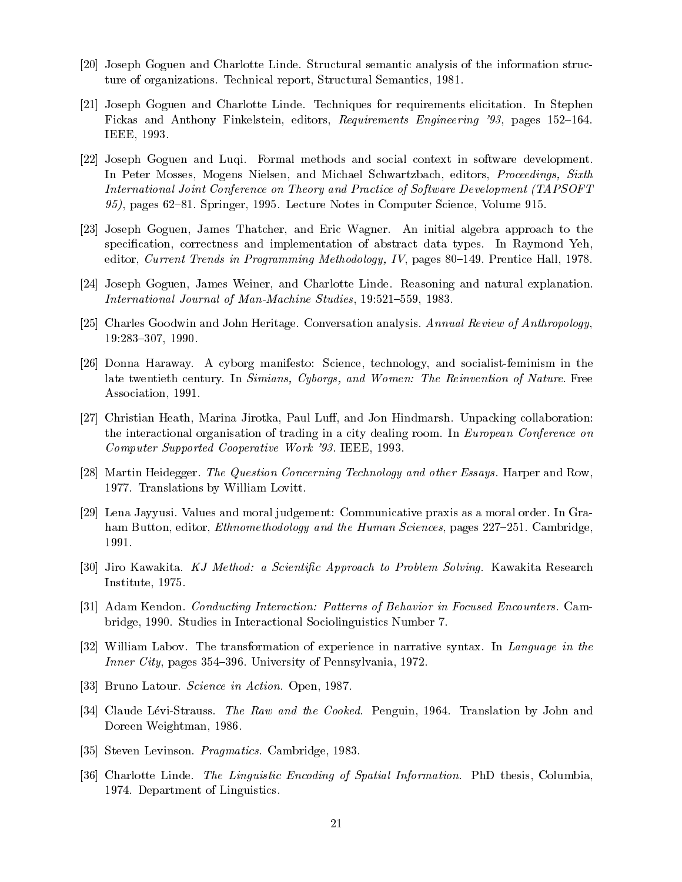- [20] Joseph Goguen and Charlotte Linde. Structural semantic analysis of the information structure of organizations. Technical report, Structural Semantics, 1981.
- [21] Joseph Goguen and Charlotte Linde. Techniques for requirements elicitation. In Stephen Fickas and Anthony Finkelstein, editors, Requirements Engineering '93, pages  $152{-}164$ . IEEE, 1993.
- [22] Joseph Goguen and Luqi. Formal methods and social context in software development. In Peter Mosses, Mogens Nielsen, and Michael Schwartzbach, editors, *Proceedings, Sixth* International Joint Conference on Theory and Practice of Software Development (TAPSOFT  $95$ , pages  $62–81$ . Springer, 1995. Lecture Notes in Computer Science, Volume  $915$ .
- [23] Joseph Goguen, James Thatcher, and Eric Wagner. An initial algebra approach to the specification, correctness and implementation of abstract data types. In Raymond Yeh, editor, Current Trends in Programming Methodology, IV, pages  $80-149$ . Prentice Hall, 1978.
- [24] Joseph Goguen, James Weiner, and Charlotte Linde. Reasoning and natural explanation. International Journal of Man-Machine Studies, 19:521-559, 1983.
- [25] Charles Goodwin and John Heritage. Conversation analysis. Annual Review of Anthropology, 19:283-307, 1990.
- [26] Donna Haraway. A cyborg manifesto: Science, technology, and socialist-feminism in the late twentieth century. In Simians, Cyborgs, and Women: The Reinvention of Nature. Free Association, 1991.
- [27] Christian Heath, Marina Jirotka, Paul Luff, and Jon Hindmarsh. Unpacking collaboration: the interactional organisation of trading in a city dealing room. In European Conference on Computer Supported Cooperative Work '93. IEEE, 1993.
- [28] Martin Heidegger. The Question Concerning Technology and other Essays. Harper and Row, 1977. Translations by William Lovitt.
- [29] Lena Jayyusi. Values and moral judgement: Communicative praxis as a moral order. In Graham Button, editor, *Ethnomethodology and the Human Sciences*, pages 227–251. Cambridge, 1991.
- [30] Jiro Kawakita. KJ Method: a Scientific Approach to Problem Solving. Kawakita Research Institute, 1975.
- [31] Adam Kendon. Conducting Interaction: Patterns of Behavior in Focused Encounters. Cambridge, 1990. Studies in Interactional Sociolinguistics Number 7.
- [32] William Labov. The transformation of experience in narrative syntax. In Language in the Inner City, pages 354-396. University of Pennsylvania, 1972.
- [33] Bruno Latour. Science in Action. Open, 1987.
- [34] Claude Lévi-Strauss. The Raw and the Cooked. Penguin, 1964. Translation by John and Doreen Weightman, 1986.
- [35] Steven Levinson. *Pragmatics*. Cambridge, 1983.
- [36] Charlotte Linde. The Linguistic Encoding of Spatial Information. PhD thesis, Columbia, 1974. Department of Linguistics.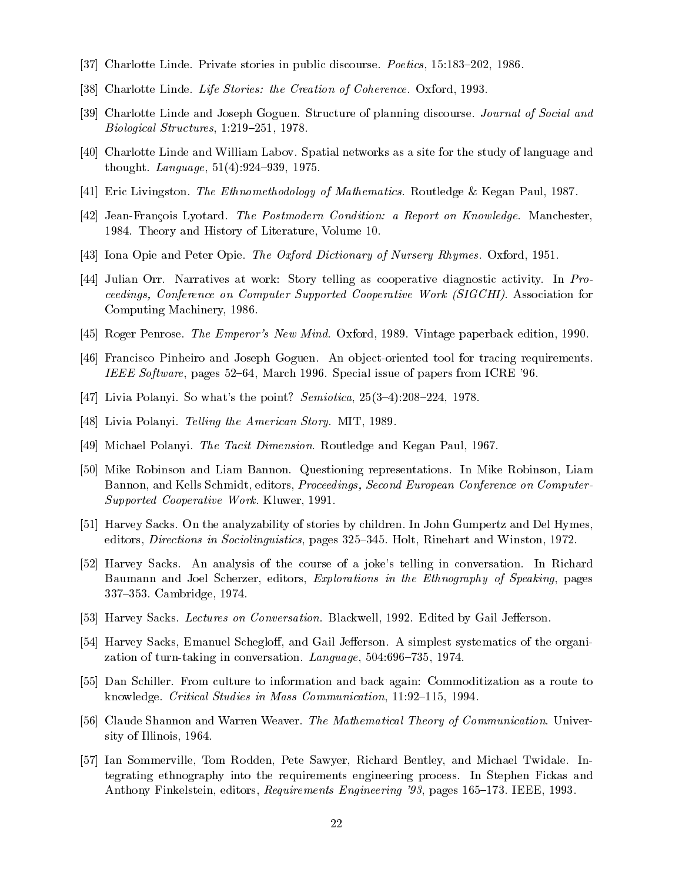- [37] Charlotte Linde. Private stories in public discourse. *Poetics*, 15:183-202, 1986.
- [38] Charlotte Linde. Life Stories: the Creation of Coherence. Oxford, 1993.
- [39] Charlotte Linde and Joseph Goguen. Structure of planning discourse. Journal of Social and  $Biological Structures, 1:219–251, 1978.$
- [40] Charlotte Linde and William Labov. Spatial networks as a site for the study of language and thought.  $Language, 51(4):924-939, 1975.$
- [41] Eric Livingston. The Ethnomethodology of Mathematics. Routledge & Kegan Paul, 1987.
- [42] Jean-François Lyotard. The Postmodern Condition: a Report on Knowledge. Manchester, 1984. Theory and History of Literature, Volume 10.
- [43] Iona Opie and Peter Opie. The Oxford Dictionary of Nursery Rhymes. Oxford, 1951.
- [44] Julian Orr. Narratives at work: Story telling as cooperative diagnostic activity. In Proceedings, Conference on Computer Supported Cooperative Work (SIGCHI). Association for Computing Machinery, 1986.
- [45] Roger Penrose. The Emperor's New Mind. Oxford, 1989. Vintage paperback edition, 1990.
- [46] Francisco Pinheiro and Joseph Goguen. An ob ject-oriented tool for tracing requirements. IEEE Software, pages  $52{-}64$ , March 1996. Special issue of papers from ICRE '96.
- [47] Livia Polanyi. So what's the point? Semiotica,  $25(3-4):208-224$ , 1978.
- [48] Livia Polanyi. Telling the American Story. MIT, 1989.
- [49] Michael Polanyi. The Tacit Dimension. Routledge and Kegan Paul, 1967.
- [50] Mike Robinson and Liam Bannon. Questioning representations. In Mike Robinson, Liam Bannon, and Kells Schmidt, editors, Proceedings, Second European Conference on Computer-Supported Cooperative Work. Kluwer, 1991.
- [51] Harvey Sacks. On the analyzability of stories by children. In John Gumpertz and Del Hymes, editors, *Directions in Sociolinguistics*, pages 325–345. Holt, Rinehart and Winston, 1972.
- [52] Harvey Sacks. An analysis of the course of a joke's telling in conversation. In Richard Baumann and Joel Scherzer, editors, *Explorations in the Ethnography of Speaking*, pages 337-353. Cambridge, 1974.
- [53] Harvey Sacks. Lectures on Conversation. Blackwell, 1992. Edited by Gail Jefferson.
- [54] Harvey Sacks, Emanuel Schegloff, and Gail Jefferson. A simplest systematics of the organization of turn-taking in conversation.  $Language, 504.696-735, 1974.$
- [55] Dan Schiller. From culture to information and back again: Commoditization asa route to knowledge. Critical Studies in Mass Communication, 11:92-115, 1994.
- [56] Claude Shannon and Warren Weaver. The Mathematical Theory of Communication. University of Illinois, 1964.
- [57] Ian Sommerville, Tom Rodden, Pete Sawyer, Richard Bentley, and Michael Twidale. Integrating ethnography into the requirements engineering process. In Stephen Fickas and Anthony Finkelstein, editors, Requirements Engineering '93, pages 165-173. IEEE, 1993.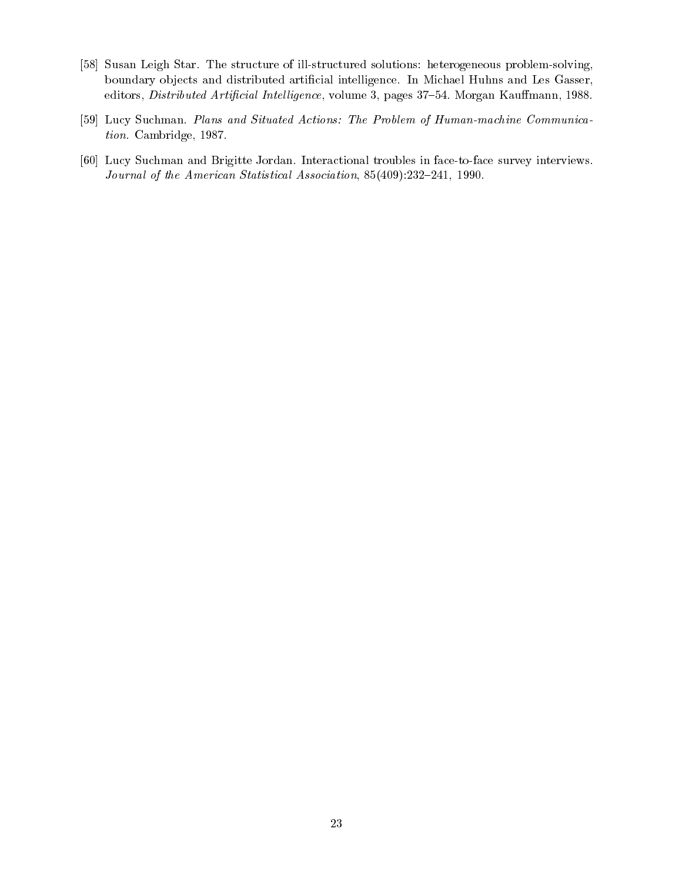- [58] Susan Leigh Star. The structure of ill-structured solutions: heterogeneous problem-solving, boundary objects and distributed artificial intelligence. In Michael Huhns and Les Gasser, editors, Distributed Artificial Intelligence, volume 3, pages 37-54. Morgan Kauffmann, 1988.
- [59] Lucy Suchman. Plans and Situated Actions: The Problem of Human-machine Communication. Cambridge, 1987.
- [60] Lucy Suchman and Brigitte Jordan. Interactional troubles in face-to-face survey interviews. Journal of the American Statistical Association, 85(409):232-241, 1990.